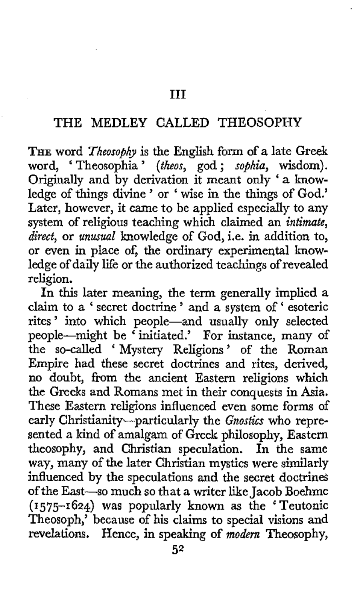## THE MEDLEY CALLED THEOSOPHY

THE word *Theosophy* is the English form of a late Greek word, ' Theosophia ' *(theos,* god ; *sophia,* wisdom). Originally and by derivation it meant only < a knowledge of things divine ' or < wise in the things of God.' Later, however, it came to be applied especially to any system of religious teaching which claimed an *intimate, direct,* or *unusual* knowledge of God, i.e. in addition to, or even in place of, the ordinary experimental knowledge of daily life or the authorized teachings of revealed religion.

In this later meaning, the term generally implied a claim to a ' secret doctrine ' and a system of ' esoteric rites ' into which people-and usually only selected people-might be ' initiated.' For instance, many of the so-called < Mystery Religions ' of the Roman Empire had these secret doctrines and rites, derived, no doubt, from the ancient Eastern religions which the Greeks and Romans met in their conquests in Asia. These Eastern religions influenced even some forms of early Christianity-particularly the *Gnostics* who represented a kind of amalgam of Greek philosophy, Eastern theosophy, and Christian speculation. In the same way, many of the later Christian mystics were similarly influenced by the speculations and the secret doctrines of the East-so much so that a writer like Jacob Boehme **(1575-1624)** was popularly **known as** the < Teutonic Theosoph,' because of his claims to special visions and revelations. Hence, in speaking of *modern* Theosophy,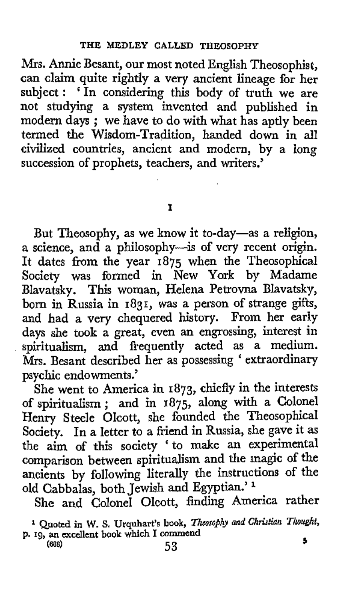Mrs. Annie Besant, our most noted English Theosophist, can claim quite rightly a very ancient lineage for her subject : 'In considering this body of truth we are not studying a system invented and published in modern days ; we have to do with what has aptly been termed the Wisdom-Tradition, handed down in all civilized countries, ancient and modern, by a long succession of prophets, teachers, and writers.'

**I** 

But Theosophy, as we know it to-day-as a religion, a science, and a philosophy--is of very recent origin. It dates from the year **1875** when the Theosophical Society was formed in New York by Madame Blavatsky. This woman, Helena Petrovna Blavatsky, born in Russia in **1831,** was a person of strange **gifts,**  and had a very chequered history. From her early days she took a great, even an engrossing, interest in spiritualism, and frequently acted as a medium. Mrs. Besant described her as possessing ' extraordinary psychic endowments.'

She went to America in **1873,** chiefly in the interests of spiritualism ; and in **1875,** along with a Colonel Henry Steele Olcott, she founded the Theosophical Society. In a letter to a friend in Russia, she gave it **as**  the aim of this society ' to make an experimental comparison between spiritualism and the magic of the ancients by following literally the instructions of the old Cabbalas, both Jewish and Egyptian.'

She and Colonel Olcott, finding America rather

Quoted in W. S. Urquhart's book, Theosophy and Christian Thought, **P. 19, an excellent book which I commend 5 (608) 53**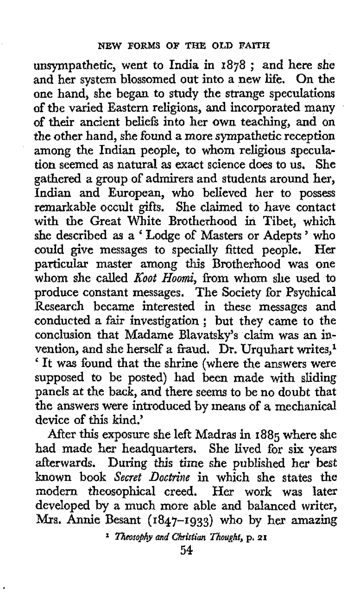unsympathetic, went to India in **1878** ; and here she and her system blossomed out into a new life. On the one hand, she began to study the strange speculations of the varied Eastern religions, and incorporated many of their ancient beliefs into her own teaching, and on the other hand, she found a more sympathetic reception among the Indian people, to whom religious speculation seemed as natural **as** exact science does to **us.** She gathered a group of admirers and students around her, Indian and European, who believed her to possess remarkable occult gifts. She claimed to have contact with the Great White Brotherhood in Tibet, which she described **as** <sup>a</sup>' Lodge of Masters or Adepts ' who could give messages to specially fitted people. Her particular master among this Brotherhood was one whom she called *Xoot Hoomi,* from whom she used to produce constant messages. The Society for Psyahical Research became interested in these messages and conducted a fair investigation ; but they came to the conclusion that Madame Blavatsky's claim was an invention, and she herself a fraud. Dr. Urquhart writes,<sup>1</sup> vention, and she nersel a fraud. Dr. Orquiart writes, It was found that the shrine (where the answers were supposed to be posted) had been made with sliding panels at the back, and there seems to be no doubt that the answers were introduced by means of **a** mechanical device of this kind.'

After this exposure she left Madras in **1885** where she had made her headquarters. She lived for *six* years afterwards. During *this* time she published her best known book *Secret Doctrine* in which she states the modern theosophical creed. Her work was later developed by a much more able and balanced writer, **Mrs. Annie** Besant **(1847-1933)** who by her amazing

**1** *Tticosobhy and CIrristian nought,* **p. 2.1**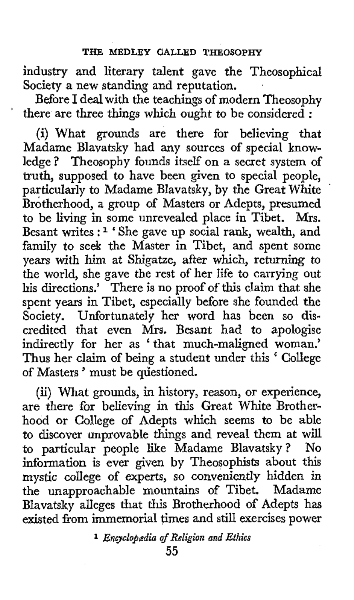industry and literary talent gave the Theosophical Society a new standing and reputation.

Before I deal with the teachings of modern Theosophy there are three things which ought to be considered :

'

(i) What grounds are there for believing that Madame Blavatsky had any sources of special knowledge ? Theosophy founds itself on a secret system of **truth,** supposed to have been given to special people, particularly to Madame Blavatsky, by the Great White Brotherhood, a group of Masters or Adepts, presumed to be living in some unrevealed place in Tibet. Mrs. Besant writes : **1** ' She gave up social rank, wealth, and family to seek the Master in Tibet, and spent some years with him at Shigatze, after which, returning to the world, she gave the rest of her life to carrying out his directions.' There is no proof of this claim that she spent years in Tibet, especially before she founded the Society. Unfortunately her word has been so discredited that even Mrs. Besant had to apologise indirectly for her as ' that much-maligned woman.' Thus her claim of being a student under this ' College of Masters' must be questioned.

(ii) What grounds, in history, reason, or experience, are there for believing in this Great White Brotherhood or College of Adepts which seems to be able to discover unprovable things and reveal them at will to particular people like Madame Blavatsky? No information is ever given by Theosophists about this mystic college of experts, so conveniently hidden in the unapproachable mountains of Tibet. Madame Blavatsky alleges that this Brotherhood of Adepts has existed from immemorial times and still exercises power

**1** *Encyclopedia if Religion and Ethics*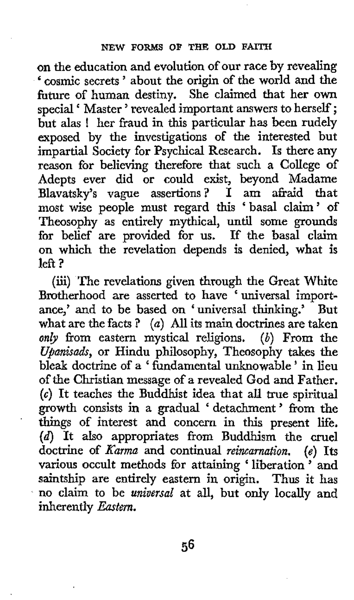**on** the education and evolution of our race by revealing ' cosmic secrets ' about the origin of the world and the future of human destiny. She claimed that her own special ' Master ' revealed important answers to herself ; but alas ! her fraud in this particular has been rudely exposed by the investigations of the interested but impartial Society for Psychical Research. Is there any reason for believing therefore that such a College of Adepts ever did or could exist, beyond Madame Blavatsky's vague assertions? I am afraid that most wise people must regard this 'basal claim' of Theosophy as entirely mythical, until some grounds for belief are provided for us. If the basal claim on which the revelation depends is denied, what is  $l$ eft ?

(iii) The revelations given through the Great White Brotherhood are asserted to have ' universal importance,' and to be based on 'universal thinking.' But what are the facts ? *(a)* All its main doctrines are taken *on&* from eastern mystical religions. *(b)* From the *Upanisads,* or Hindu philosophy, Theosophy takes the bleak doctrine of a ' fundamental unknowable ' in lieu **of** the Christian message of a revealed God and Father. *(G)* It teaches the Buddhist idea that all true spiritual growth consists in a gradual ' detachment' from the things of interest and concern in this present life. (d) It **also** appropriates from Buddhism the **cruel**  doctrine of *Karma* and continual *reincarnation.* (e) Its various occult methods for attaining ' liberation ' and saintship are entirely eastern in origin. Thus it has no claim to be *universal* at all, but **only** locally and inherently *Eastern.*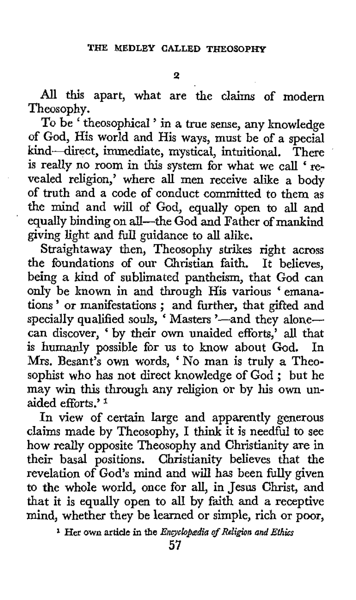All this apart, what are the claims of modern Theosophy.

To be ' theosophical ' in a true sense, any knowledge of God, His world and His ways, must be of a special kind-direct, immediate, mystical, intuitional. There is really no room in this system for what we call ' revealed religion,' where all men receive alike a body of truth and a code of conduct committed to them as the mind and will of God, equally open to all and equally binding on all-the God and Father of mankind giving light and full guidance to all alike.

'

Straightaway then, Theosophy strikes right across the foundations of our Christian faith. It believes, being a kind of sublimated pantheism, that God can only be known in and through His various ' emanaonly be known in and through His various 'emanations' or manifestations; and further, that gifted and specially qualified souls, 'Masters '-and they alonecan discover, ' by their own unaided efforts,' **all** that is humanly possible for us to know about God. **Mrs.** Besant's own words, 'No man is truly a Theosophist who has not direct knowledge of God ; but he may win this through any religion or by his **own** unaided efforts.' **<sup>1</sup>**

In view of certain large and apparently generous claims made by Theosophy, I think it is needful to see how really opposite Theosophy and Christianity are in their basal positions. Christianity believes that the revelation of God's mind and will has been fully given to the whole world, once for all, in Jesus Christ, and that it is equally open to all by faith and a receptive mind, whether they be learned or simple, rich or poor,

<sup>&</sup>lt;sup>1</sup> Her own article in the *Encyclopædia of Religion and Ethics*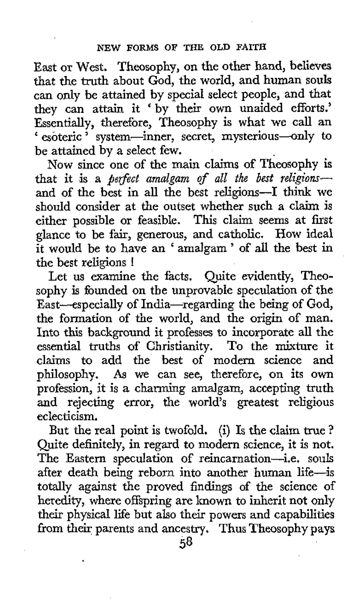East or West. Theosophy, on the other hand, believes that the truth about God, the world, and human **souls**  can only be attained by special select people, and that they can attain it 'by their own unaided efforts.' Essentially, therefore, Theosophy is what we call an ' esoteric ' system-inner, secret, mysterious-only to be attained by a select few.

**Now** since one of the main claims of Theosophy is that it is a *perfect amalgam of all the best religions*and of the best in all the best religions-I think we should consider at the outset whether such a claim is either possible or feasible. This claim seems at first either possible or feasible. glance to be fair, generous, and catholic. How ideal it would be to have an ' amalgam ' of all the best **in**  the best religions !

Let us examine the facts. Quite evidently, Theosophy is founded on the unprovable speculation of the East-especially of India-regarding the being of God, the formation of the world, and the origin **of** man. Into this background it professes to incorporate all the essential truths of Christianity. To the mixture it claims to add the best of modern science and philosophy. **As** we can see, therefore, on its own profession, it is a charming amalgam, accepting truth and rejecting error, the world's greatest religious eclecticism.

But the real point is twofold. (i) Is the claim true ? Quite definitely, in regard to modern science, it is not. The Eastern speculation of reincarnation-i.e. souls after death being reborn into another human life-is totally against the proved findings of the science of heredity, where offspring are known to inherit not only their physical life but also their powers and capabilities from their parents and ancestry. Thus Theosophy pays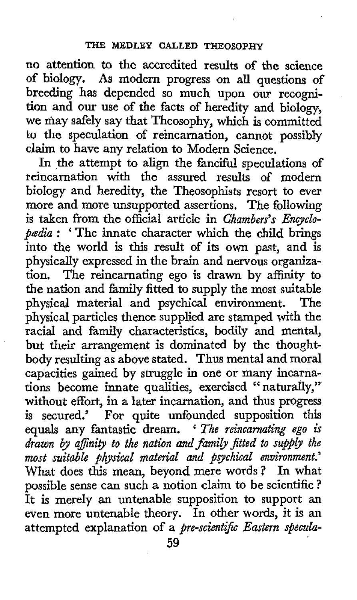no attention to the accredited results of the science of biology. **As** modern progress on all questions of breeding has depended so much upon our recognition **and our** use of the facts of heredity and biology, we may safely say that Theosophy, which is committed to the speculation of reincarnation, cannot possibly claim to have any relation to Modern Science.

In the attempt to align the fanciful speculations of reincarnation with the assured results of modern biology and heredity, the Theosophists resort to ever more and more unsupported assertions. The following is taken from the official article in *Chambers's Encyclopedia* : ' The innate character which the child brings into the world is this result of its own past, and is physically expressed in the brain and nervous organiza-<br>tion. The reincarnating ego is drawn by affinity to The reincarnating ego is drawn by affinity to the nation and family fitted to supply the most suitable physical material and psychical environment. The physical particles thence supplied are stamped with the racial and family characteristics, bodily **and** mental, but their arrangement is dominated by the thoughtbody resulting as above stated. Thus mental and moral capacities gained by struggle in one or many incarnations become innate qualities, exercised " naturally," without effort, in a later incarnation, and **thus** progress is secured.' For quite unfounded supposition this equals any fantastic dream. ' *The reincarnating ego* **is**  *drawn by affinity to the nation and family fitted to supply the most suitable physical material and psychical environment.'*  What does this mean, beyond mere words? In what possible sense can such a notion claim to be scientific ? It is merely an untenable supposition to support an even more untenable theory. In other words, it is an attempted explanation of a *ere-scientijc Eastern specula-*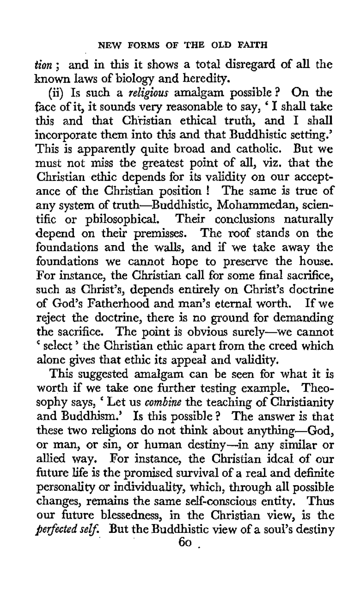*tion* ; and in this it shows a total disregard of all the known laws of biology and heredity.

(ii) Is such a *religious* amalgam possible ? On the face of it, it sounds very reasonable to say, ' **<sup>I</sup>**shall take this and that Christian ethical truth, and I shall incorporate them into this and that Buddhistic setting.' This is apparently quite broad and catholic. But we must not miss the greatest point of all, viz. **that** the Christian ethic depends for its validity on our acceptance of the Christian position ! The same is true of any system of truth-Buddhistic, Mohammedan, scientific or philosophical. Their conclusions naturally depend on their premisses. The roof stands on the foundations and the walls, and if we take away the foundations we cannot hope to preserve the house. For instance, the Christian call for some final sacrifice, such as Christ's, depends entirely on Christ's doctrine of God's Fatherhood and man's eternal worth. If we reject the doctrine, there is no ground for demanding the sacrifice. The point is obvious surely-we cannot ' select ' the Christian ethic apart from the creed which alone gives that ethic its appeal and validity.

This suggested amalgam can be seen for what it is worth if we take one further testing example. Theosophy says, ' Let us *combine* the teaching of Christianity and Buddhism.' Is this possible? The answer is that these **two** religions do not think about anything-God, or man, or sin, or human destiny-in any similar or allied way. For instance, the Christian ideal of our future life is the promised survival of **a** real and definite personality or individuality, which, through all possible changes, remains the same self-conscious entity. Thus our future blessedness, in the Christian view, is the *perfected self.* But the Buddhistic view of a soul's destiny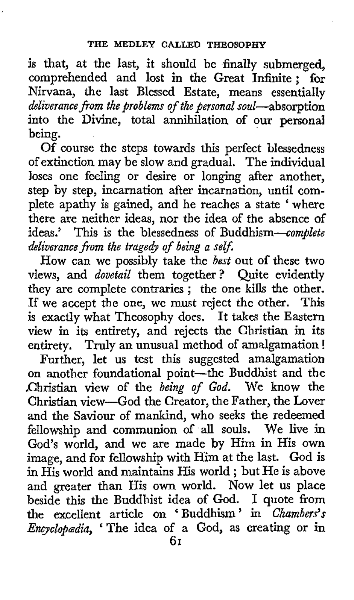is that, at the last, it should be finally submerged, comprehended and lost in the Great Infinite; for Nirvana, the last Blessed Estate, means essentially deliverance *from* the problems *of* the personal soul-absorption into the Divine, total annihilation of our personal being.

Of course the steps towards this perfect blessedness of extinction may be slow and gradual. The individual loses one feeling or desire or longing after another, step by step, incarnation after incarnation, until complete apathy is gained, and he reaches a state ' where there are neither ideas, nor the idea of the absence of ideas.' This is the blessedness of Buddhism-complete deliverance *from* the tragedy *of* being a self.

How can we possibly take the best out of these two views, and *dovetail* them together? Quite evidently they are complete contraries ; the one kills the other. If we accept the one, we must reject the other. This is exactly what Theosophy does. It takes the Eastern view in its entirety, and rejects the Christian in its entirety. Truly an unusual method of amalgamation !

Further, let us test this suggested amalgamation on another foundational point-the Buddhist and the Christian view of the being of God. We know the Christian view-God the Creator, the Father, the Lover and the Saviour of mankind, who seeks the redeemed fellowship and communion of all souls. We live in God's world, and we are made by Him in His own image, and for fellowship with Him at the last. God is in His world and maintains His world ; but He is above and greater than His own world. Now let us place beside this the Buddhist idea of God. I quote **from**  the excellent article on 'Buddhism' in Chambers's Encyclopædia, 'The idea of a God, as creating or in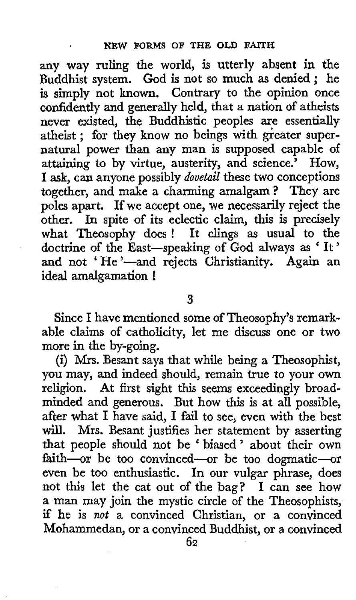any way ruling the world, is utterly absent in the Buddhist system. God is not so much **as** denied ; he is simply not **known.** Contrary to the opinion once confidently and generally held, that a nation of atheists never existed, the Buddhistic peoples are essentially atheist ; for they know no beings with greater supernatural power than any man is supposed capable of attaining to by virtue, austerity, and science.' How, I ask, can anyone possibly *dovetail* these **two** conceptions together, and make a charming amalgam? They are poles apart. If we accept one, we necessarily reject the *other.* In spite of its eclectic claim, this is precisely what Theosophy does ! It clings **as** usual to the doctrine of the East-speaking of God always as ' It ' and not 'He'-and rejects Christianity. Again an and not 'He'—and i<br>ideal amalgama<mark>tion !</mark>

## **3**

Since I have mentioned some of Theosophy's remarkable claims of catholicity, let me discuss one or two more in the by-going.

(i) Mrs. Besant says that while being a Theosophist, **you** may, and indeed should, remain true to your own religion. At first sight this seems exceedingly broadminded and generous. But how this is at all possible, after what I have said, I fail to see, even with the best will. Mrs. Besant justifies her statement by asserting that people should not be ' biased' about their own faith-or be too convinced-or be too dogmatic-or even be too enthusiastic. In our vulgar phrase, does not this let the cat out of the bag? I can see how a man may join the mystic circle of the Theosophists, if he is *not* a convinced Christian, or a convinced Mohammedan, or a convinced Buddhist, or **a** convinced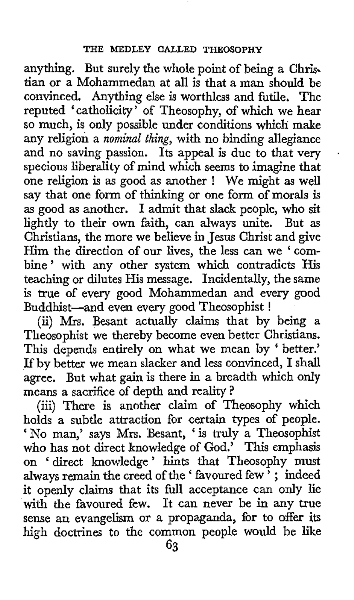anything. But surely the whole point of being a Chris. tian or a Mohammedan at all is that **a** man should be convinced. Anything else is worthless and futile. The reputed 'catholicity' of Theosophy, of which we hear so much, is only possible under conditions which make any religion a *nominal thing,* with no binding allegiance and no saving passion. Its appeal is due to that very specious liberality of mind which seems to imagine that one religion is **as** good as another ! We might **as** well say that one form of thinking or one form of morals is as good as another. I admit that slack people, who sit lightly to their own faith, can always unite. But as Christians, the more we believe in Jesus Christ and give Him the direction of our lives, the less can we ' combine' with any other system which contradicts His teaching or dilutes His message. Incidentally, the same is true of every good Mohammedan and every good Buddhist-and even every good Theosophist !

+

(ii) **Ws.** Besant actually claims that by being a Theosophist we thereby become even better Christians. This depends entirely on what we mean by 'better.' If by better we mean slacker and less convinced, I shall agree, But what gain is there in a breadth which only means a sacrifice of depth and reality?

(iii) There is another claim of Theosophy which holds **a** subtle attraction for certain types of people. ' No man,' says Mrs. Besant, ' is truly a Theosophist who has not direct knowledge of God.' This emphasis on 'direct knowledge' hints that Theosophy must always remain the creed of the ' favoured few ' ; indeed it openly claims that its full acceptance can only lie with the favoured few. It can never be in any true sense an evangelism or a propaganda, for to offer its high doctrines to the common people would be like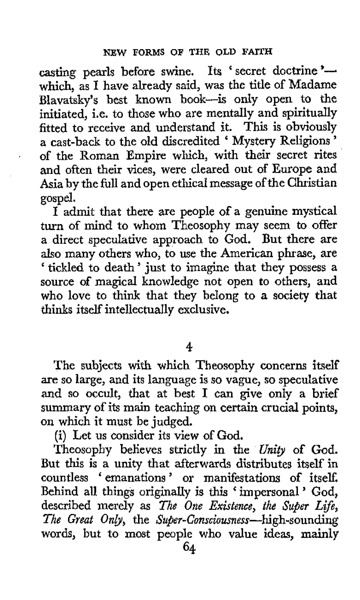casting pearls before swine. Its 'secret doctrine'which, as I have already said, was the title of Madame Blavatsky's best known book-is only open to the initiated, i.e. to those who are mentally and spiritually fitted to receive and understand it. This is obviously a cast-back to the old discredited ' Mystery Religions ' of the Roman Empire which, with their secret rites and often their vices, were cleared out **of** Europe and Asia by the full and open ethical message **of** the Christian gospel.

**I** admit that there are people of a genuine mystical turn **of** mind to whom Theosophy may seem to offer a direct speculative approach to God. But there are also many others who, to use the American phrase, are also many others who, to use the American phrase, are<br>'tickled to death' just to imagine that they possess a source **of** magical knowledge not open to others, and who love to think that they belong to a society that thinks itself intellectually exclusive.

## **4**

The subjects with which Theosophy concerns itself are so large, and its language is so vague, so speculative and so occult, that at best **I** can give only a brief summary of its main teaching on certain crucial points, on which it must be judged.

(i) Let us consider its view of God.

Theosophy believes strictly in the Unity of God. But this is a unity that afterwards distributes itself in countless ' emanations ' or manifestations of itself. Behind all things originally is this ' impersonal ' God, described merely as *The One Existence*, the Super Life, The Great Only, the Super-Consciousness-high-sounding words, but to most people who value ideas, mainly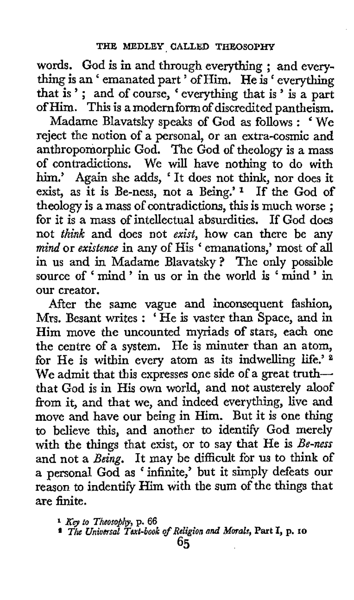words. God is in and through everything ; and everywords: Cod is in this emodgli everything ; and every-<br>thing is an 'emanated part ' of Him. He is ' everything thing is an 'emanated part' of Him. He is 'everything<br>that is '; and of course, 'everything that is ' is a part of Him. **This** is a modern form of discredited pantheism.

Madame Blavatsky speaks of God as follows : ' We reject the notion of a personal, or an extra-cosmic **and**  anthropomorphic God. The God of theology is a mass of contradictions. We will have nothing to do with him.' **Again** she adds, ' It does not think, nor does it exist, as it is Be-ness, not a Being.' **1** If the God of theology is a mass of contradictions, this is much worse ; for it is a mass of intellectual absurdities. If God does not *think* and does not *exist,* how can there be any *mind* or *existence* in any of His ' emanations,' most of all in **us** and in Madame Blavatsky? The only possible source of ' mind ' in **us** or in the world is ' mind ' in our creator.

After the same vague and inconsequent fashion, Mrs. Besant writes : ' He is vaster than Space, and in Him move the uncounted myriads of stars, each one the centre of **a** system. He is minuter than an atom, for He is within every atom as its indwelling life.' *<sup>8</sup>* We admit that this expresses one side of a great truththat God is in His own world, and not austerely aloof from it, and that we, and indeed everything, live and move and have our being in Him. But it is one thing to believe this, and another to identify God merely with the things that exist, or to say that He is *Be-ness*  and not a *Being.* It may be difficult for **us** to think **of**  a personal God as 'infinite,' but it simply defeats our reason to indentify  $\overline{\text{Him}}$  with the sum of the things that are finite.

**<sup>1</sup>***Kg to Xheosofiihy,* **p. 66**  *Xhs Universal Xext-book of Religion nnd Morals,* **Part I, p. 10**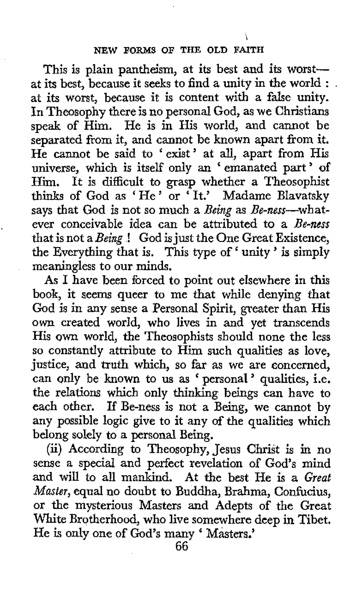This is plain pantheism, at its best and its worstat its best, because it seeks to find a unity in the world : . at its worst, because it is content with a false unity. In Theosophy there is no personal God, as we Christians speak of Him. He is in His world, and cannot be separated from it, and cannot be known apart from it. He cannot be said to 'exist' at all, apart **from** His universe, which is itself only an 'emanated part' of Him. It is difficult to grasp whether a Theosophist thinks of God as ' He ' or ' It.' Madame Blavatsky says that God is not so much a Being as Be-ness--whatever conceivable idea can be attributed to a Be-ness that is not a Being! God is just the One Great Existence, the Everything that is. This type **of'** unity ' is simply meaningless to our minds.

,

As I have been forced to point out elsewhere in this book, it seems queer to me that while denying that God is in any sense a Personal Spirit, greater than His own created world, who lives in and yet transcends His own world, the Theosophists should none the less so constantly attribute to Him such qualities as love, justice, and truth which, so far as we are concerned, justice, and truth which, so far as we are concerned,<br>can only be known to us as ' personal' qualities, i.e. the relations which only thinking beings can have to each other. If Be-ness is not a Being, we cannot by any possible logic give to it any of the qualities which belong solely to a personal Being.

(ii) According to Theosophy, Jesus Christ is in no sense a special and perfect revelation **of** God's mind and will to all mankind. At the best He is a Great *Master,* equal no doubt to Buddha, Brahma, Confucius, or the mysterious Masters and Adepts of the Great White Brotherhood, who live somewhere deep in Tibet. He is only one of God's many ' Masters.'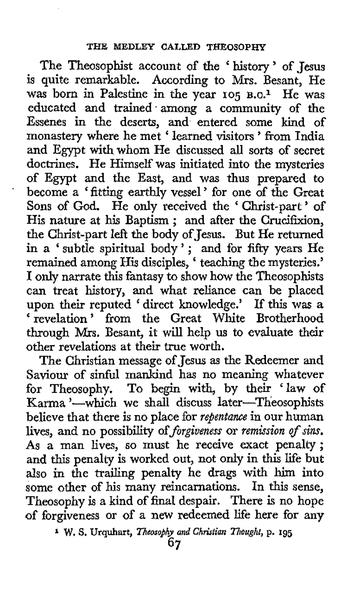The Theosophist account of the 'history' of Jesus is quite remarkable. According to Mrs. Besant, He was born in Palestine in the year 105 B.C.<sup>1</sup> He was educated and trained.among a community of the Essenes in the deserts, and entered some kind of monastery where he met ' learned visitors ' from India and Egypt with whom He discussed all sorts of secret doctrines. He Himself was initiated into the mysteries of Egypt and the East, and was thus prepared to become a ' fitting earthly vessel ' for one of the Great Sons of God. He only received the ' Christ-part ' of His nature at his Baptism ; and after the Crucifixion, the Christ-part left the body of Jesus. But He returned in a ' subtle spiritual body ' ; and for fifty years He in a 'subtle spiritual body'; and for fifty years He<br>remained among His disciples, 'teaching the mysteries.' I only narrate this fantasy to show how the Theosophists can treat history, and what reliance can be placed upon their reputed ' direct knowledge.' If this was *<sup>a</sup>* upon their reputed direct knowledge. It this was a<br>revelation ' from the Great White Brotherhood through Mrs. Besant, it will help us to evaluate their other revelations at their true worth.

The Christian message of Jesus **as** the Redeemer and Saviour of sinful mankind has no meaning whatever for Theosophy. To begin with, by their 'law of Karma '-which we shall discuss later-Theosophists believe that there is no place for *repentance* in our human lives, and no possibility of *forgiveness* or *remission of* sins. As **a** man lives, so must he receive exact penalty; and this penalty is worked out, not only in this life but also in the trailing penalty he drags with him into some other of his many reincarnations. In this sense, Theosophy is a kind of final despair. There is no hope of forgiveness or of a new redeemed life here for any

**<sup>1</sup>W. S.** Urquhart, *Theosophy* **and** *Christian Thought,* p. **195**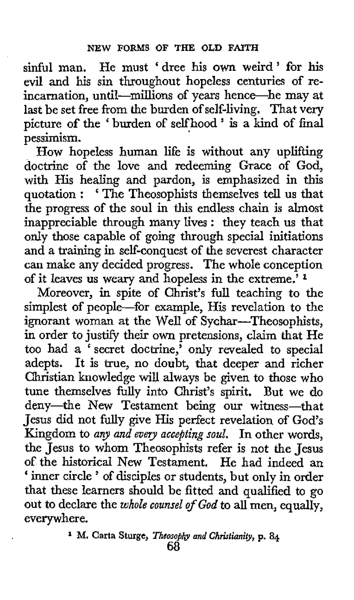sinful man. He must 'dree his own weird' **for** his evil and his sin throughout hopeless centuries of reincarnation, until-millions of years hence-he may at last be set free from the burden of self-living. That very picture of the ' burden **of** selfhood ' is a kind *of* final pessimism.

How hopeless human life is without any uplifting doctrine **of** the love and redeeming Grace **of** God, with His healing and pardon, is emphasized in this quotation : ' The Theosophists themselves tell us that the progress of the soul in this endless chain is almost inappreciable through many lives : they teach us that only those capable of going through special initiations and a training in self-conquest of the severest character can make any decided progress. The whole conception of it leaves us weary and hopeless in the extreme.'

Moreover, in spite of Christ's full teaching to the simplest of people-for example, His revelation to the ignorant woman at the Well of Sychar-Theosophists, in order to justify their own pretensions, claim that He too had a 'secret doctrine,' only revealed to special adepts. It is true, no doubt, that deeper and richer Christian knowledge will always be given to those who tune themselves fully into Christ's spirit. But we do deny-the New Testament being our witness-that Jesus did not fully give His perfect revelation of God's Kingdom to *any and evey accepting soul.* In other words, the Jesus to whom Theosophists refer is not the Jesus of the historical New Testament. He had indeed an ' inner circle ' of disciples or students, but only in order that these learners should be fitted and qualified to go out to declare the *whole counsel of God* to all men, equally, everywhere.

**1 M. Carta Sturge,** *Theosojlp and Christianity,* **p. 84**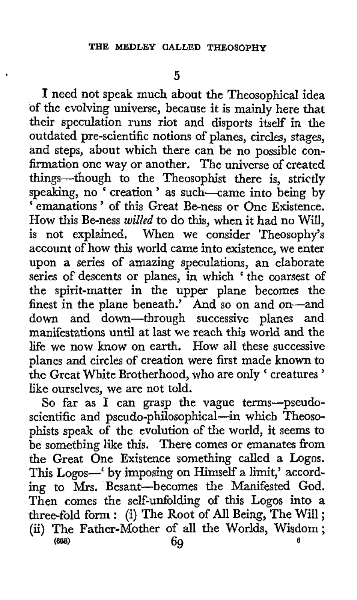**I** need not speak much about the Theosophical idea of the evolving universe, because it is mainly here that their speculation runs riot and disports itself in the outdated pre-scientific notions of planes, circles, stages, and steps, about which there can be no possible confirmation one way or another. The universe of created things-though to the Theosophist there is, strictly speaking, no ' creation ' as such-came into being by ' emanations ' of this Great Be-ness or One Existence. How this Be-ness *willed* to do this, when it had no **WiU,**  is not explained. When we consider Theosophy's account of how this world came into existence, we enter upon a series of amazing speculations, an elaborate series of descents or planes, in which 'the coarsest of the spirit-matter in the upper plane becomes the finest in the plane beneath.' And so on and on-and down and down-through successive planes and manifestations until at last we reach **this world** and the life we now know on earth. How all these successive planes and circles of creation were first made known to the Great White Brotherhood, who are only ' creatures ' like ourselves, we are not told.

So far as I can grasp the vague terms-pseud scientific and pseudo-philosophical-in which Theosophists speak of the evolution of the world, it seems to be something like this. There comes or emanates from the Great One Existence something called a Logos. This Logos--' **by** imposing on Himself a limit,' according to **Mrs.** Besant-becomes the Manifested God. Then comes the self-unfolding of this Logos into a three-fold form : (i) The Root of All Being, The Will ; (ii) The Father-Mother of all the Worlds, Wisdom;<br> $69$ *8* **(W) 69**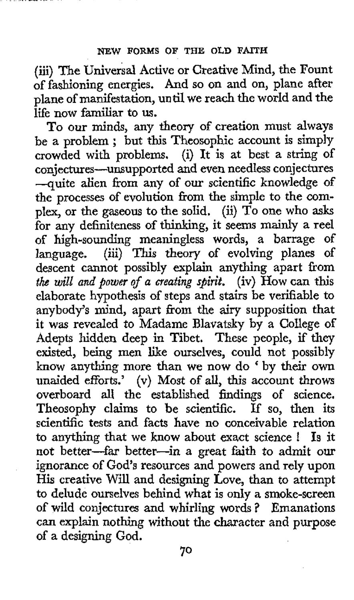(iii) **The** Universal Active or Creative Mind, the Fount of fashioning energies. And so on and on, plane after plane of manifestation, until **we** reach the world and the life now familiar to us.

To our minds, any theory of creation must always be a problem ; but this Theosophic account is simply crowded with problems. (i) It is at best a string of conjectures-unsupported and even needless conjectures -quite alien from any of our scientific knowledge of the processes of evolution from the simple to the complex, or the gaseous to **the** solid. (ii) To one who asks €or any definiteness of thinking, it seems mainly a reel of high-sounding meaningless words, a barrage of language. (iii) This theory of evolving planes of (iii) This theory of evolving planes of descent cannot possibly explain anything apart from *the will and power* of *a creating spirit.* (iv) **How** can this elaborate hypothesis of steps and stairs be verifiable to anybody's mind, apart from the airy supposition that it was revealed to Madame Blavatsky by a College of Adepts hidden deep in Tibet. These people, if they existed, being men like ourselves, could not possibly know anything more than we now do ' by their own unaided efforts.' **(v)** Most of all, this account throws overboard all the established findings of science. Theosophy claims to be scientific. If so, then its scientific tests and facts have no conceivable relation to anything that we know about exact science ! Is it not better-far better-in a great faith to admit **our**  ignorance of God's resources and powers and rely upon **His** creative Will and designing Love, than to attempt to delude ourselves behind what is only a smoke-screen of wild conjectures and whirling words ? Emanations can explain nothing without the character and purpose of a designing God.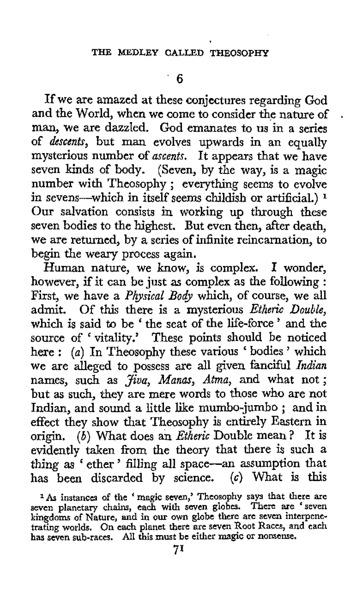If we are amazed at these conjectures regarding God<br>and the World, when we come to consider the nature of man, we are dazzled. God emanates to us in a series of *descents,* but man evolves upwards in an equally mysterious number of *ascents.* It appears that we have seven kinds of body. (Seven, by the way, is a magic number with Theosophy; everything seems to evolve in sevens-which in itself seems childish or artificial.) **<sup>1</sup> Our** salvation consists in working up through these seven bodies to the highest. But even then, after death, we are returned, by a series of infinite reincarnation, to begin the weary process again.

Human nature, we know, is complex, **I** wonder, however, if it can be just **as** complex as the following : First, we have a *Physical Body* which, of course, we all admit. Of this there is a mysterious *Etheric Double,*  which is said to be ' the seat of the life-force ' and the source of ' vitality.' These points should be noticed here : *(a)* In Theosophy these various ' bodies ' which we are alleged to possess are all given fanciful *Indian*  names, such as *Jiua, Manas, Atma,* and what not; but **as** such, they are mere words to those who are not Indian, and sound a little like mumbo-jumbo ; and in effect they show that Theosophy is entirely Eastern in origin. (6) What does an *Etheric* Double mean? It is evidently taken from the theory that there is such **a**  thing as ' ether ' filling all space-an assumption that has been discarded by science. **(c)** What is this

<sup>1</sup>As instances of the ' magic seven,' Theosophy says that there are seven planetary chains, each with seven globes. There are 'seven **kingdoms** of **Nature, and** in **our own globe there are seven interpene- trating worlds. On each planet there are seven** Root **Races, and each has seven sub-races.** All **this must be either magk** or **nonsense.**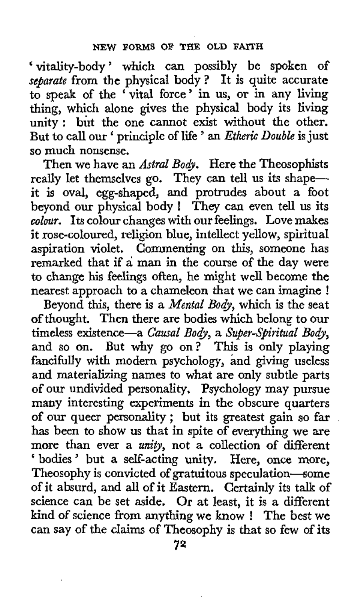'vitality-body' which can possibly be spoken of *seyjarate* from the physical body? It is quite accurate to speak of the ' vital force ' in us, or in any living thing, which alone gives the physical body its living unity: but the one cannot exist without the other. But to call **our** ' principle of life ' an *Etheric Double* is just *so* much nonsense.

Then we have an *Astral Body*. Here the Theosophists really let themselves *go.* They can tell us its shapeit is oval, egg-shaped, and protrudes about a foot beyond our physical body ! They can even tell us its *colour.* Its colour changes with our feelings. Love makes it rose-coloured, religion blue, intellect yellow, spiritual aspiration violet. Commenting on this, someone has remarked that if a man in the course of the day were **to** change **his** feelings often, he might well become the nearest approach to a chameleon that we can imagine !

Beyond this, there is a *Mental Body,* which is the seat of thought. Then there are bodies which belong to our timeless existence-a *Causal Body,* a *Super-Spiritual Body,*  and *so* on. But why go on? This is only playing fancifully with modern psychology, and giving useless and materializing names to what are only subtle parts of our undivided personality. Psychology may pursue many interesting experiments in the obscure quarters of our queer personality; but its greatest gain so far has been to show us that in spite of everything we are more than ever a *unity,* not a collection of different ' bodies' but a self-acting unity. Here, once more, Theosophy is convicted of gratuitous speculation-some **of** it absurd, and all of it Eastern. Certainly its talk of science can be set aside. Or at least, it is a different kind *of* science from anything we **know** ! The best we can say of the claims of Theosophy is that so few of its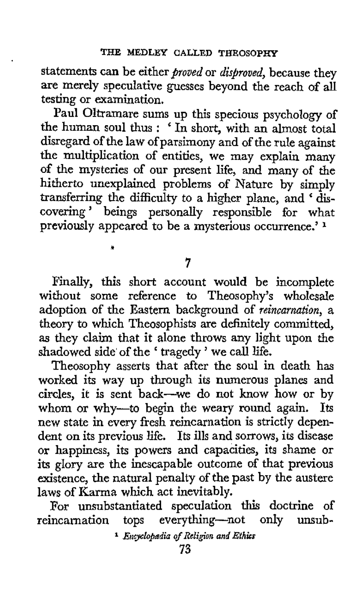statements can be either *proued* or *disproved,* because they are merely speculative guesses beyond the reach of all testing or examination.

Paul Oltramare sums up this specious psychology of the human soul thus : ' In short, with an almost total disregard of the law of parsimony and of the rule against the multiplication of entities, we may explain many of the mysteries of our present life, and many of the hitherto unexplained problems of Nature by simply transferring the difficulty to a higher plane, and 'discovering ' beings personally responsible for what previously appeared to be a mysterious occurrence.' **<sup>1</sup>**

**7** 

*d* 

Finally, this short account would be incomplete without some reference to Theosophy's wholesale adoption of the Eastern background of *reincarnation,* a theory to which Theosophists are definitely committed, **as** they claim that it alone throws any light upon the shadowed side of the ' tragedy ' we call life.

Theosophy asserts that after the soul in death has worked its way up through its numerous planes and circles, it is sent back-we do not know how or by whom or why-to begin the weary round again. Its new state in every fresh reincarnation **is** strictly dependent on its previous life. Its ills and sorrows, its disease or happiness, its powers and capacities, its shame or **its** glory are the inescapable outcome of that previous existence, the natural penalty of the past by the austere laws of Karma which act inevitably.

For unsubstantiated speculation this doctrine of reincarnation tops everything-not only unsub-

<sup>&</sup>lt;sup>1</sup> *Encyclopadia of Religion and Ethics*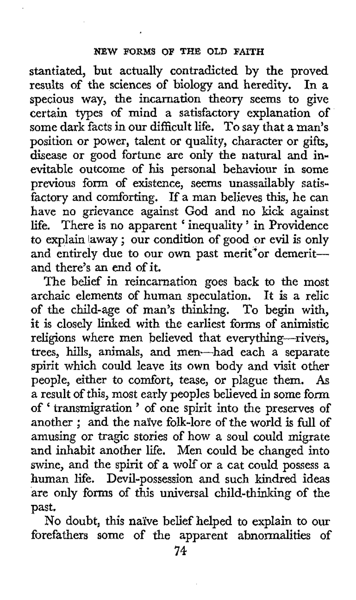stantiated, but actually contradicted by the proved results of the sciences of biology and heredity. specious way, the incarnation theory seems to give certain types of mind a satisfactory explanation of some dark facts in our difficult life. To say that a man's position or power, talent **or** quality, character or gifts, disease or good fortune are only the natural and inevitable outcome of his personal behaviour in **some**  previous form of existence, seems unassailably satisfactory and comforting. If a man believes this, he can have no grievance against God and no kick against life. There is no apparent ' inequality ' in Providence to explain laway ; our condition of good or evil is only and entirely due to our own past merit<sup>\*</sup>or demeritand there's an end of it.

The belief **in** reincarnation goes back to the most archaic elements of human speculation. It **is** a relic of the child-age of man's thinking. To begin with, it is closely linked with the earliest forms of animistic religions where men believed that everything-rivers, trees, hills, animals, and men-had each **a** separate spirit which could leave its own body and visit other people, either to comfort, tease, or plague them. *As*  a result of this, most early peoples believed in some form of ' transmigration ' of one spirit into the preserves of another ; and the naive folk-lore of the world is full of amusing or tragic stories of how a soul could migrate and inhabit another life, Men could be changed into swine, and the spirit of **a** wolf or a cat could possess a human life. Devil-possession and such kindred ideas are only forms of this universal child-thinking of the past.

No doubt, this naive belief helped to explain to our forefathers some of the apparent abnormalities of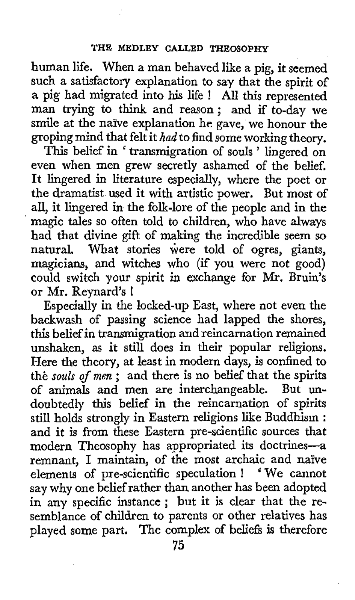human life. When a man behaved like a pig, it seemed such a satisfactory explanation to say that the spirit of **<sup>a</sup>**pig had migrated into **his** life ! All this represented man trying to think and reason: and if to-day we smile at the naive explanation he gave, we honour the groping mind that felt it *had* to find some working theory.

This belief in ' transmigration of souls ' lingered on even when men grew secretly ashamed of the belief. It lingered in literature especially, where the poet or the dramatist used it with artistic power. But most of all, it lingered in the folk-lore of the people and in the magic tales so often told to children, who have always had that divine gift of making the incredible seem so natural. What stories were told of ogres, giants, magicians, and witches who (if you were not good) could switch your spirit in exchange for **Mr.** Bruin's or Mr. Reynard's !

Especially in the locked-up East, where not even the backwash of passing science had lapped the shores, this belief in transmigration and reincarnation remained unshaken, **as** it still does in their popular religions. Here the theory, at least in modern days, is confined to **thi:** *souls of men* ; and there is no belief that the spirits of animals and men are interchangeable. But undoubtedly this belief in the reincarnation of spirits still holds strongly in Eastern religions like Buddhism : and it is from these Eastern pre-scientific sources that modern Theosophy has appropriated its doctrines-a remnant, I maintain, of the most archaic and naive elements of pre-scientific speculation ! ' We cannot say why one belief rather than another has been adopted in any specific instance ; but it is clear that the resemblance of children to parents or other relatives has played some part. The complex of beliefs **is** therefore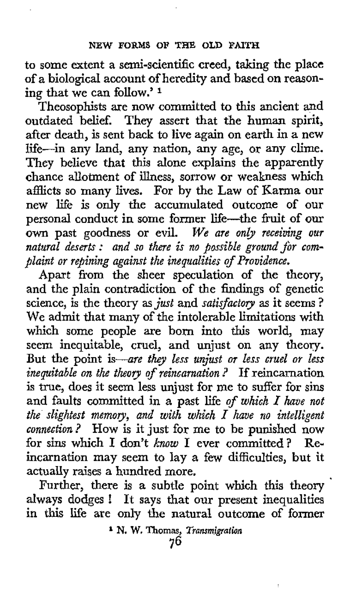to some extent a semi-scientific creed, taking the place of a biological account of heredity and based on reasoning that we can folIow.' **<sup>1</sup>**

Theosophists are now committed to this ancient and outdated belief. They assert that the human spirit, after death, is sent back to live again on earth in a new life-in any land, any nation, any age, or any clime. They believe that this alone explains the apparently chance allotment of illness, sorrow or weakness which afflicts so many lives. **For** by the Law of Karma our new life is only the accumulated outcome of our personal conduct in some former life-the fruit of **our**  own past goodness or evil. *We are only receiving our natural deserts* : *and so there is no possible ground jbr complaint or repining against the inequalities of Providence.* 

Apart from the sheer speculation of the theory, and the plain contradiction of the findings of genetic science, is the theory as *just* and *satisfactov* as it seems ? We admit that many of the intolerable limitations with which some people are born into this world, may seem inequitable, cruel, and unjust on any theory. But the point *is-are they less unjust or less cruel or less inequitable on the theory of reincarnation* ? If reincarnation is true, does it seem less unjust for me to suffer for sins and faults committed in a past life *of which I have not the slightest memory, and with which I have no intelligent connection?* How is it just for me to be punished now **for** sins which I don't *know* I ever committed? Reincarnation may seem to lay a few difficulties, but it actually raises a hundred more.

always dodges ! It says that our present inequalities in this life are only **the** natural outcome **of** former Further, there is a subtle point which this theory

<sup>&</sup>lt;sup>1</sup> N. W. Thomas, *Transmigration*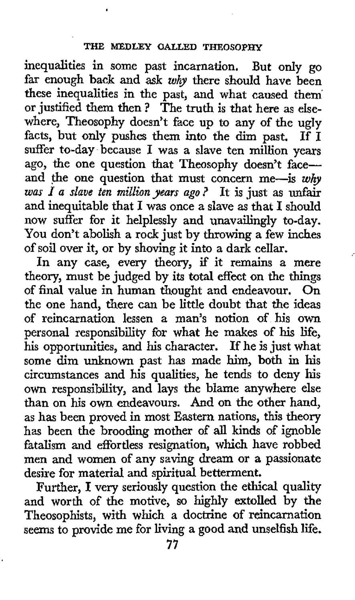inequalities in some past incarnation. But only go far enough back and ask *why* there should have been these inequalities in the past, and what caused them' or justified them then ? The truth is that here as elsewhere, Theosophy doesn't face up to any of the ugly facts, but only pushes them into the dim past. If I suffer to-day because I was a slave ten million years ago, the one question that Theosophy doesn't faceand the one question that must concern me-is why *was I a slave ten million years ago* ? It is just as unfair and inequitable that I was once a slave as that I should now suffer for it helplessly and unavailingly to-day. You don't abolish a rock just by throwing a few inches of soil over it, or by shoving it into a dark cellar.

/

In any case, every theory, if it remains a mere theory, must be judged by its total effect on the things of final value in human thought and endeavour. On the one hand, there can be little doubt that the ideas of reincarnation lessen a man's notion of his own personal responsibility for what he makes of his life, his opportunities, and his character. If he is just what some dim unknown past has made him, both in his circumstances and his qualities, he tends to deny his own responsibility, and lays the blame anywhere else than on his **own** endeavours. And on the other hand, as has been proved in most Eastern nations, this theory has been the brooding mother of all kinds of ignoble fatalism and effortless resignation, which have robbed men and women of any saving dream or **a** passionate desire for material and spiritual betterment.

Further, I very seriously question the ethical quality and worth of the motive, so highly extolled by the Theosophists, with which a doctrine **of** reincarnation seems to provide me for living **a** good and unselfish life.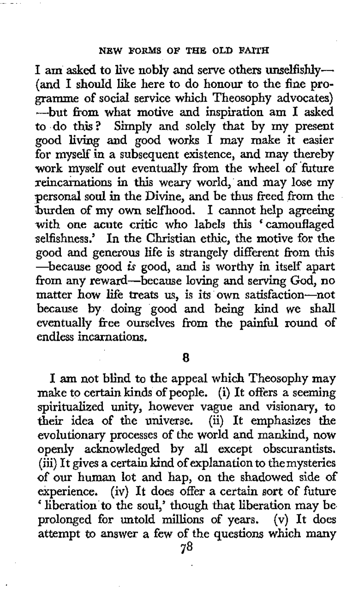1 am *asked* to live nobly and serve others unselfishly- (and **I** should like here to do honour to the fine programme **of** social service which Theosophy advocates) -but from what motive and inspiration am I asked to do this? Simply and solely that by **my** present good living and good works I may make it easier for myself in a subsequent existence, and may thereby work myself out eventually from the wheel of 'future reincarnations in this weary world, and may lose my personal soul in the Divine, and be **thus** freed from the burden **of** my own selfhood. I cannot help agreeing with one acute critic who labels *this* 'camouflaged selfishness.' In the Christian ethic, the motive for the good and generous life is strangely different from this -because good is good, and is worthy in itself apart from any reward-because loving and serving God, no matter how life treats us, is its own satisfaction-not because by doing good and being kind we shall eventually free ourselves from the painful round of endless incarnations.

*8* 

I am not blind to the appeal which Theosophy may make to certain kinds of people. (i) It offers a seeming spiritualized **unity,** however vague and visionary, to their idea **of** the universe. (ii) It emphasizes the evolutionary processes of the world and mankind, now openly acknowledged by all except obscurantists. (iii) It gives a certain kind of explanation to themysteries of our human lot and hap, on the shadowed side of experience. (iv) It does offer a certain sort of future ' liberation to the soul,' though that liberation may be prolonged for untold millions of years. (v) It does attempt to answer a few of the questions which **many**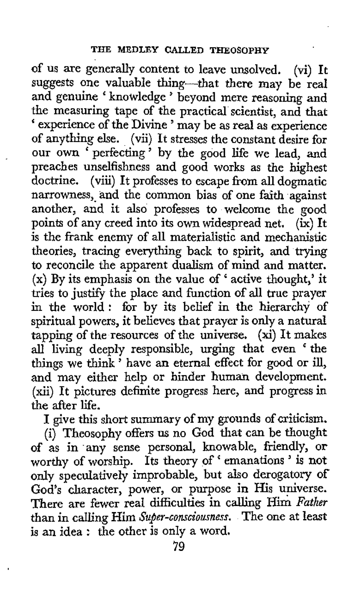of us are generally content to leave unsolved. (vi) It suggests one valuable thing---that there may be real and genuine 'knowledge' beyond mere reasoning and the measuring tape of the practical scientist, and that ' experience of the Divine ' may be as real as experience of anything else. (vii) It stresses the constant desire for our own ' perfecting ' by the good life we lead, and preaches unselfishness and good works as the highest doctrine. (viii) It professes to escape from all dogmatic narrowness, and the common bias of one faith against another, and it also professes to welcome the good points of any creed into its own widespread net. *(ix)* It is the frank enemy of all materialistic and mechanistic theories, tracing everything back to spirit, and trying to reconcile the apparent dualism of mind and matter. (x) By its emphasis on the value of ' active thought,' it tries to justify the place and function of all true prayer in the world : for by its belief in the hierarchy of spiritual powers, it believes that prayer is only a natural tapping of the resources of the universe. (xi) It makes all living deeply responsible, urging that even 'the an inving deeply responsible, uiging that even the things we think ' have an eternal effect for good or ill, and may either help or hinder human development. (xii) It pictures definite progress here, and progress in the after life.

I give this short summary of my grounds of criticism.

(i) Theosophy offers us no God that can be thought **of** as in 'any sense personal, knowable, friendly, or worthy **of** worship. Its theory of ' emanations ' is not only speculatively improbable, but also derogatory of God's character, power, or purpose in His universe. There are fewer real difficulties in calling Him *Father*  than in calling Him *Super-consciourness.* The one at least is an idea : the other is only a word.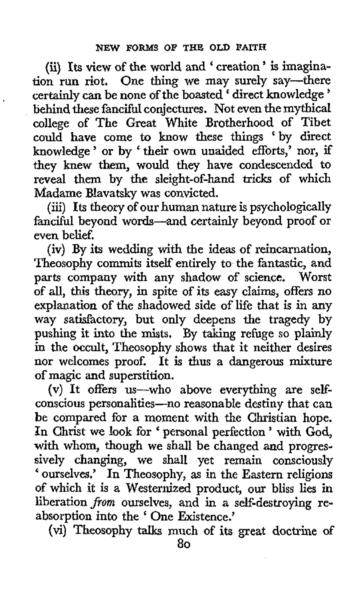**(i) Its** view of the world and < creation ' is imagination run riot, One thing we may surely say-there certainly can be none of the boasted < direct knowledge ' behind these fanciful conjectures. Not even the mythical college of The Great White Brotherhood of Tibet could have come to know these things 'by direct knowledge ' or by < their own unaided efforts,' nor, if they knew them, would they have condescended to reveal them by the sleight-of-hand tricks of which Madame Blavatsky was convicted.

(iii) Its theory of our human nature is psychologically fanciful beyond words-and certainly beyond proof or even belief.

(iv) By its wedding with the ideas of reincarnation, Theosophy commits itself entirely to the fantastic, and parts company with any shadow of science. Worst of all, this theory, in spite of its easy claims, offers no explanation of the shadowed side of life that is in any way satisfactory, but only deepens the tragedy by pushing it into the **mists.** By taking refuge so plainly in the occult, Theosophy shows that it neither desires nor welcomes proof. It is thus a dangerous mixture of magic and superstition.

(v) It offers us-who above everything are selfconscious personalities-no reasonable destiny that can be compared for a moment with the Christian hope. In Christ we look for ' personal perfection ' with God, with whom, though we shall be changed and progressively changing, we shall yet remain consciously ' ourselves.' In Theosophy, as in the Eastern religions of which it is a Westernized product, our bliss lies in liberation *jiom* ourselves, and in a self-destroying **re**absorption into the < One Existence.'

(vi) Theosophy talks much of its great doctrine of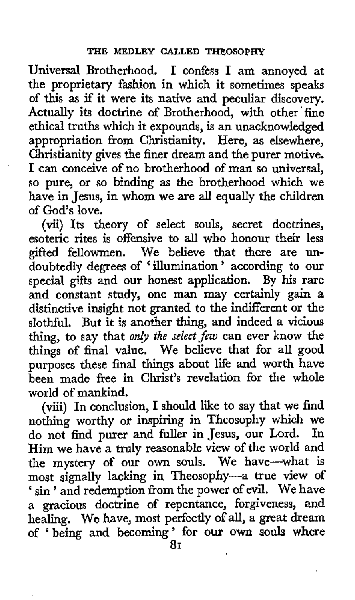Universal Brotherhood. I confess I am annoyed at the proprietary fashion in which it sometimes speaks of this **as** if it were its native and peculiar discovery. Actually its doctrine of Brotherhood, with other fine ethical truths which it expounds, is an unacknowledged appropriation from Christianity. Here, **as** elsewhere, Christianity gives the finer dream and the purer motive. I can conceive of no brotherhood of man so universal, so pure, or so binding as the brotherhood which we have in Jesus, in whom we are **all** equally the children of God's love.

(vii) Its theory of select souls, secret doctrines, esoteric rites is offensive to all who honour their less gifted fellowmen. We believe that there are undoubtedly degrees of ' illumination ' according to our special gifts and our honest application. By his rare and constant study, one man may certainly gain a distinctive insight not granted to the indifferent or the slothful. But it is another thing, and indeed a vicious thing, to say that *only the select few* can ever know the things of final value. We believe that for all good purposes these final things about life and worth have been made free in Christ's revelation for the whole world of mankind.

(viii) In conclusion, I should like to say that we find nothing worthy or inspiring in Theosophy which we do not find nurer and fuller in Jesus, our Lord. In do not find purer and fuller in Jesus, our Lord. Him we have a truly reasonable view of the world and the mystery of our **own** souls. We have-what **is**  most signally lacking in Theosophy-a true view of ' sin ' and redemption from the power of evil. We have a gracious doctrine of repentance, forgiveness, and healing. **We** have, most perfectly of all, a great dream **of** ' being and becoming ' for **our own souls** where